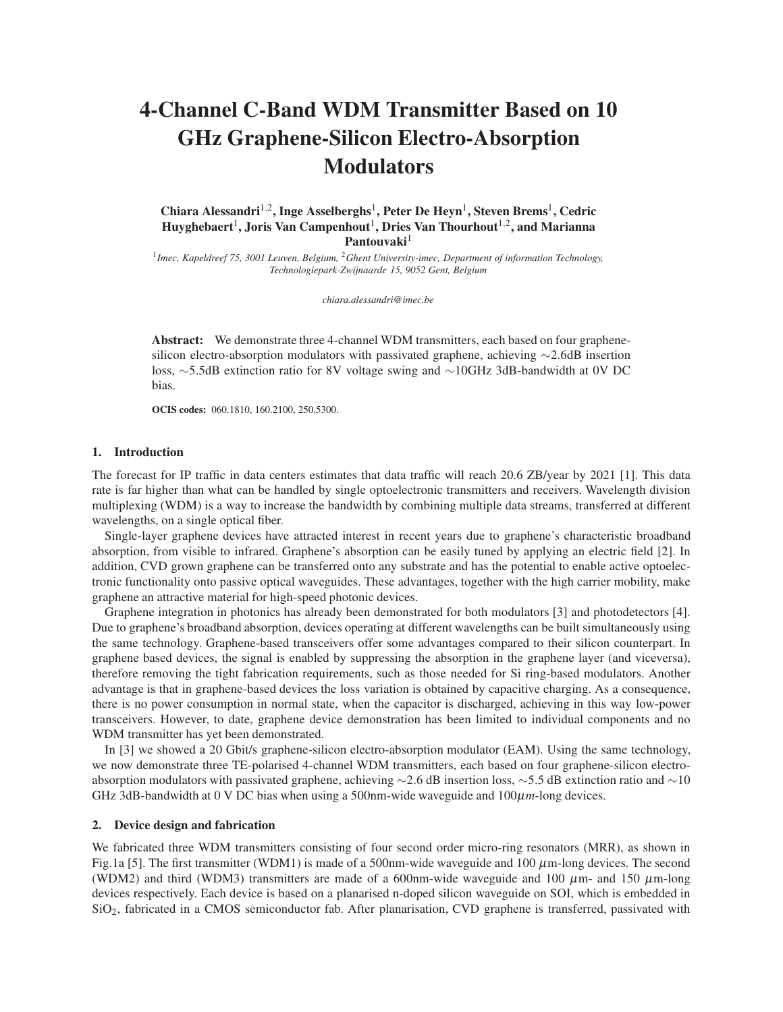# 4-Channel C-Band WDM Transmitter Based on 10 GHz Graphene-Silicon Electro-Absorption **Modulators**

## Chiara Alessandri<sup>1,2</sup>, Inge Asselberghs<sup>1</sup>, Peter De Heyn<sup>1</sup>, Steven Brems<sup>1</sup>, Cedric Huyghebaert $^1$ , Joris Van Campenhout $^1,$  Dries Van Thourhout $^{1,2},$  and Marianna Pantouvaki<sup>1</sup>

1 *Imec, Kapeldreef 75, 3001 Leuven, Belgium,* <sup>2</sup>*Ghent University-imec, Department of information Technology, Technologiepark-Zwijnaarde 15, 9052 Gent, Belgium*

*chiara.alessandri@imec.be*

Abstract: We demonstrate three 4-channel WDM transmitters, each based on four graphenesilicon electro-absorption modulators with passivated graphene, achieving ∼2.6dB insertion loss, ∼5.5dB extinction ratio for 8V voltage swing and ∼10GHz 3dB-bandwidth at 0V DC bias.

OCIS codes: 060.1810, 160.2100, 250.5300.

#### 1. Introduction

The forecast for IP traffic in data centers estimates that data traffic will reach 20.6 ZB/year by 2021 [1]. This data rate is far higher than what can be handled by single optoelectronic transmitters and receivers. Wavelength division multiplexing (WDM) is a way to increase the bandwidth by combining multiple data streams, transferred at different wavelengths, on a single optical fiber.

Single-layer graphene devices have attracted interest in recent years due to graphene's characteristic broadband absorption, from visible to infrared. Graphene's absorption can be easily tuned by applying an electric field [2]. In addition, CVD grown graphene can be transferred onto any substrate and has the potential to enable active optoelectronic functionality onto passive optical waveguides. These advantages, together with the high carrier mobility, make graphene an attractive material for high-speed photonic devices.

Graphene integration in photonics has already been demonstrated for both modulators [3] and photodetectors [4]. Due to graphene's broadband absorption, devices operating at different wavelengths can be built simultaneously using the same technology. Graphene-based transceivers offer some advantages compared to their silicon counterpart. In graphene based devices, the signal is enabled by suppressing the absorption in the graphene layer (and viceversa), therefore removing the tight fabrication requirements, such as those needed for Si ring-based modulators. Another advantage is that in graphene-based devices the loss variation is obtained by capacitive charging. As a consequence, there is no power consumption in normal state, when the capacitor is discharged, achieving in this way low-power transceivers. However, to date, graphene device demonstration has been limited to individual components and no WDM transmitter has yet been demonstrated.

In [3] we showed a 20 Gbit/s graphene-silicon electro-absorption modulator (EAM). Using the same technology, we now demonstrate three TE-polarised 4-channel WDM transmitters, each based on four graphene-silicon electroabsorption modulators with passivated graphene, achieving ∼2.6 dB insertion loss, ∼5.5 dB extinction ratio and ∼10 GHz 3dB-bandwidth at 0 V DC bias when using a 500nm-wide waveguide and  $100 \mu m$ -long devices.

#### 2. Device design and fabrication

We fabricated three WDM transmitters consisting of four second order micro-ring resonators (MRR), as shown in Fig[.1a](#page-1-0) [5]. The first transmitter (WDM1) is made of a 500nm-wide waveguide and 100 µm-long devices. The second (WDM2) and third (WDM3) transmitters are made of a 600nm-wide waveguide and 100  $\mu$ m- and 150  $\mu$ m-long devices respectively. Each device is based on a planarised n-doped silicon waveguide on SOI, which is embedded in SiO2, fabricated in a CMOS semiconductor fab. After planarisation, CVD graphene is transferred, passivated with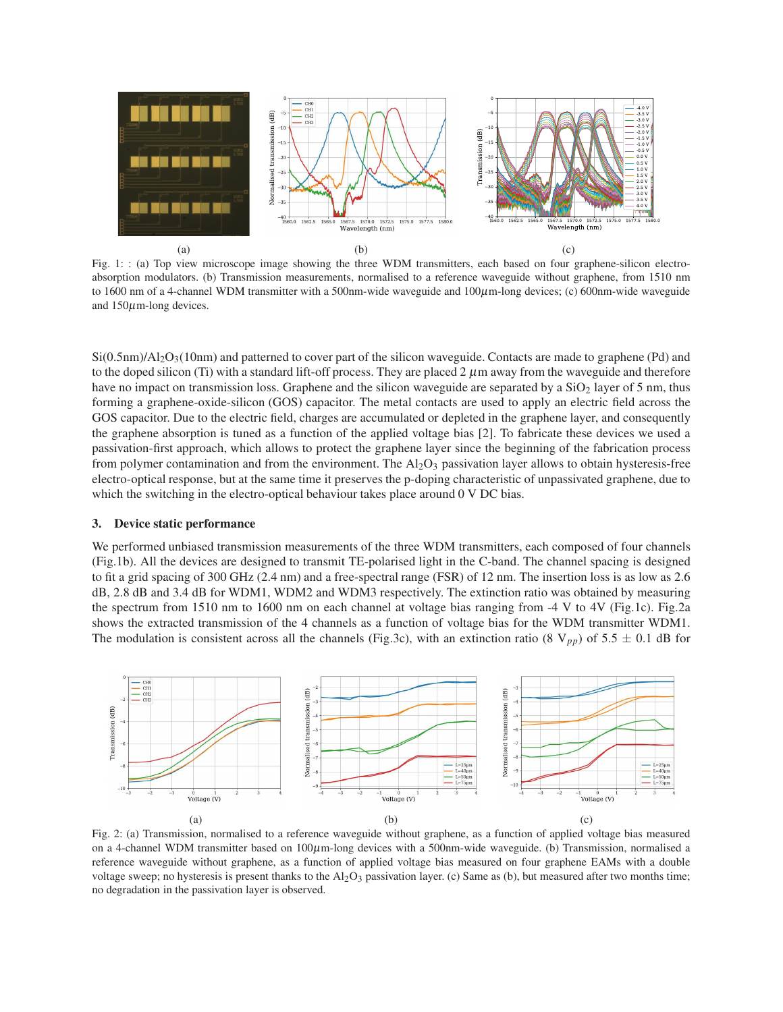<span id="page-1-0"></span>

Fig. 1: : (a) Top view microscope image showing the three WDM transmitters, each based on four graphene-silicon electroabsorption modulators. (b) Transmission measurements, normalised to a reference waveguide without graphene, from 1510 nm to 1600 nm of a 4-channel WDM transmitter with a 500nm-wide waveguide and  $100\mu$ m-long devices; (c) 600nm-wide waveguide and  $150\mu$ m-long devices.

 $Si(0.5nm)/Al_2O_3(10nm)$  and patterned to cover part of the silicon waveguide. Contacts are made to graphene (Pd) and to the doped silicon (Ti) with a standard lift-off process. They are placed  $2 \mu$ m away from the waveguide and therefore have no impact on transmission loss. Graphene and the silicon waveguide are separated by a  $SiO<sub>2</sub>$  layer of 5 nm, thus forming a graphene-oxide-silicon (GOS) capacitor. The metal contacts are used to apply an electric field across the GOS capacitor. Due to the electric field, charges are accumulated or depleted in the graphene layer, and consequently the graphene absorption is tuned as a function of the applied voltage bias [2]. To fabricate these devices we used a passivation-first approach, which allows to protect the graphene layer since the beginning of the fabrication process from polymer contamination and from the environment. The  $A<sub>12</sub>O<sub>3</sub>$  passivation layer allows to obtain hysteresis-free electro-optical response, but at the same time it preserves the p-doping characteristic of unpassivated graphene, due to which the switching in the electro-optical behaviour takes place around 0 V DC bias.

#### 3. Device static performance

We performed unbiased transmission measurements of the three WDM transmitters, each composed of four channels (Fig[.1b\)](#page-1-0). All the devices are designed to transmit TE-polarised light in the C-band. The channel spacing is designed to fit a grid spacing of 300 GHz (2.4 nm) and a free-spectral range (FSR) of 12 nm. The insertion loss is as low as 2.6 dB, 2.8 dB and 3.4 dB for WDM1, WDM2 and WDM3 respectively. The extinction ratio was obtained by measuring the spectrum from 1510 nm to 1600 nm on each channel at voltage bias ranging from -4 V to 4V (Fig[.1c\)](#page-1-0). Fig[.2a](#page-1-1) shows the extracted transmission of the 4 channels as a function of voltage bias for the WDM transmitter WDM1. The modulation is consistent across all the channels (Fig[.3c\)](#page-2-0), with an extinction ratio (8  $V_{pp}$ ) of 5.5  $\pm$  0.1 dB for

<span id="page-1-1"></span>

Fig. 2: (a) Transmission, normalised to a reference waveguide without graphene, as a function of applied voltage bias measured on a 4-channel WDM transmitter based on 100µm-long devices with a 500nm-wide waveguide. (b) Transmission, normalised a reference waveguide without graphene, as a function of applied voltage bias measured on four graphene EAMs with a double voltage sweep; no hysteresis is present thanks to the  $Al_2O_3$  passivation layer. (c) Same as (b), but measured after two months time; no degradation in the passivation layer is observed.